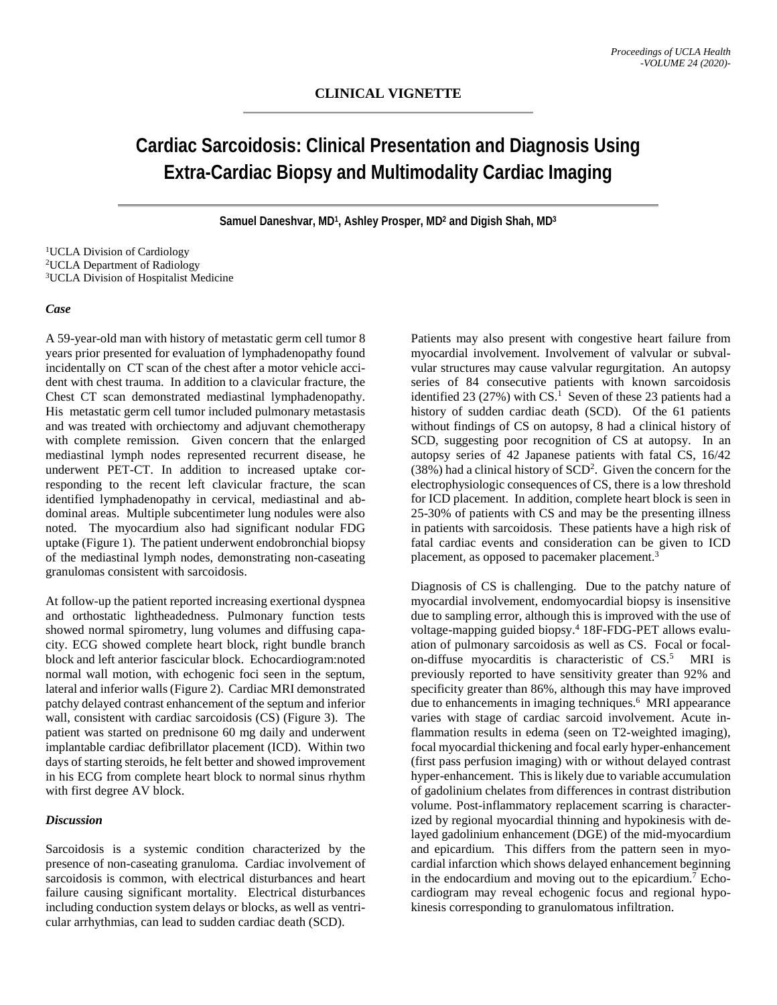# **Cardiac Sarcoidosis: Clinical Presentation and Diagnosis Using Extra-Cardiac Biopsy and Multimodality Cardiac Imaging**

**Samuel Daneshvar, MD1, Ashley Prosper, MD2 and Digish Shah, MD3**

1UCLA Division of Cardiology 2UCLA Department of Radiology 3UCLA Division of Hospitalist Medicine

### *Case*

A 59-year-old man with history of metastatic germ cell tumor 8 years prior presented for evaluation of lymphadenopathy found incidentally on CT scan of the chest after a motor vehicle accident with chest trauma. In addition to a clavicular fracture, the Chest CT scan demonstrated mediastinal lymphadenopathy. His metastatic germ cell tumor included pulmonary metastasis and was treated with orchiectomy and adjuvant chemotherapy with complete remission. Given concern that the enlarged mediastinal lymph nodes represented recurrent disease, he underwent PET-CT. In addition to increased uptake corresponding to the recent left clavicular fracture, the scan identified lymphadenopathy in cervical, mediastinal and abdominal areas. Multiple subcentimeter lung nodules were also noted. The myocardium also had significant nodular FDG uptake (Figure 1). The patient underwent endobronchial biopsy of the mediastinal lymph nodes, demonstrating non-caseating granulomas consistent with sarcoidosis.

At follow-up the patient reported increasing exertional dyspnea and orthostatic lightheadedness. Pulmonary function tests showed normal spirometry, lung volumes and diffusing capacity. ECG showed complete heart block, right bundle branch block and left anterior fascicular block. Echocardiogram:noted normal wall motion, with echogenic foci seen in the septum, lateral and inferior walls(Figure 2). Cardiac MRI demonstrated patchy delayed contrast enhancement of the septum and inferior wall, consistent with cardiac sarcoidosis (CS) (Figure 3). The patient was started on prednisone 60 mg daily and underwent implantable cardiac defibrillator placement (ICD). Within two days of starting steroids, he felt better and showed improvement in his ECG from complete heart block to normal sinus rhythm with first degree AV block.

## *Discussion*

Sarcoidosis is a systemic condition characterized by the presence of non-caseating granuloma. Cardiac involvement of sarcoidosis is common, with electrical disturbances and heart failure causing significant mortality. Electrical disturbances including conduction system delays or blocks, as well as ventricular arrhythmias, can lead to sudden cardiac death (SCD).

Patients may also present with congestive heart failure from myocardial involvement. Involvement of valvular or subvalvular structures may cause valvular regurgitation. An autopsy series of 84 consecutive patients with known sarcoidosis identified 23 (27%) with  $CS<sup>1</sup>$ . Seven of these 23 patients had a history of sudden cardiac death (SCD). Of the 61 patients without findings of CS on autopsy, 8 had a clinical history of SCD, suggesting poor recognition of CS at autopsy. In an autopsy series of 42 Japanese patients with fatal CS, 16/42 (38%) had a clinical history of SCD2 . Given the concern for the electrophysiologic consequences of CS, there is a low threshold for ICD placement. In addition, complete heart block is seen in 25-30% of patients with CS and may be the presenting illness in patients with sarcoidosis. These patients have a high risk of fatal cardiac events and consideration can be given to ICD placement, as opposed to pacemaker placement.<sup>3</sup>

Diagnosis of CS is challenging. Due to the patchy nature of myocardial involvement, endomyocardial biopsy is insensitive due to sampling error, although this is improved with the use of voltage-mapping guided biopsy. <sup>4</sup> 18F-FDG-PET allows evaluation of pulmonary sarcoidosis as well as CS. Focal or focalon-diffuse myocarditis is characteristic of CS. <sup>5</sup> MRI is previously reported to have sensitivity greater than 92% and specificity greater than 86%, although this may have improved due to enhancements in imaging techniques. <sup>6</sup> MRI appearance varies with stage of cardiac sarcoid involvement. Acute inflammation results in edema (seen on T2-weighted imaging), focal myocardial thickening and focal early hyper-enhancement (first pass perfusion imaging) with or without delayed contrast hyper-enhancement. This is likely due to variable accumulation of gadolinium chelates from differences in contrast distribution volume. Post-inflammatory replacement scarring is characterized by regional myocardial thinning and hypokinesis with delayed gadolinium enhancement (DGE) of the mid-myocardium and epicardium. This differs from the pattern seen in myocardial infarction which shows delayed enhancement beginning in the endocardium and moving out to the epicardium. <sup>7</sup> Echocardiogram may reveal echogenic focus and regional hypokinesis corresponding to granulomatous infiltration.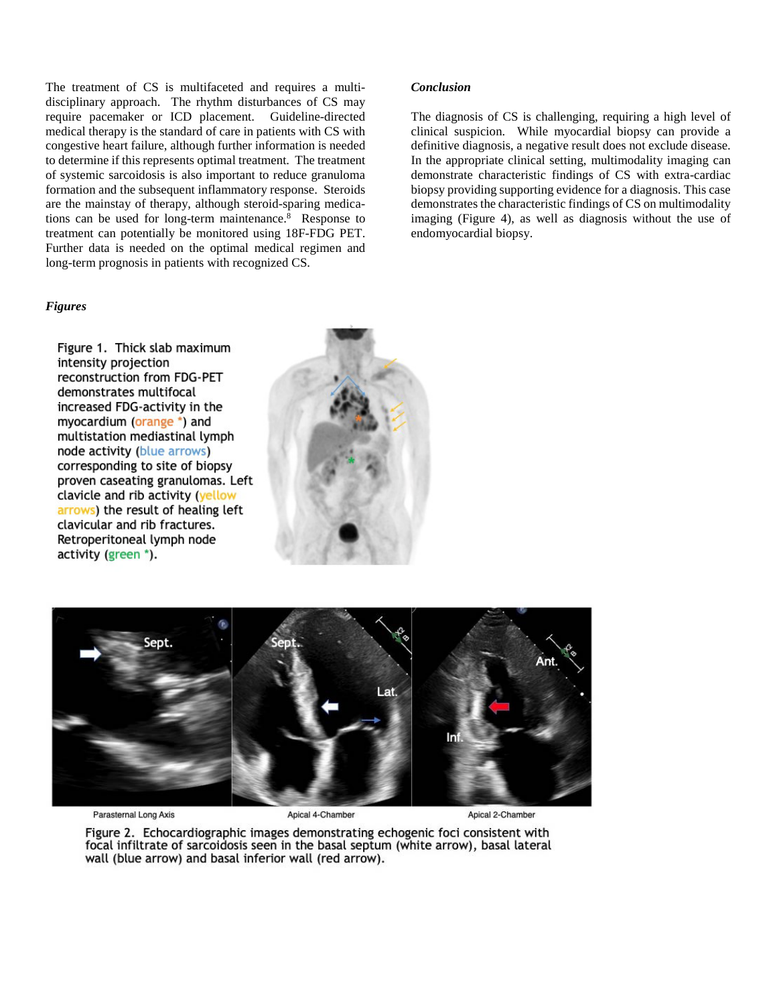The treatment of CS is multifaceted and requires a multidisciplinary approach. The rhythm disturbances of CS may require pacemaker or ICD placement. Guideline-directed medical therapy is the standard of care in patients with CS with congestive heart failure, although further information is needed to determine if this represents optimal treatment. The treatment of systemic sarcoidosis is also important to reduce granuloma formation and the subsequent inflammatory response. Steroids are the mainstay of therapy, although steroid-sparing medications can be used for long-term maintenance. <sup>8</sup> Response to treatment can potentially be monitored using 18F-FDG PET. Further data is needed on the optimal medical regimen and long-term prognosis in patients with recognized CS.

### *Figures*

Figure 1. Thick slab maximum intensity projection reconstruction from FDG-PET demonstrates multifocal increased FDG-activity in the myocardium (orange \*) and multistation mediastinal lymph node activity (blue arrows) corresponding to site of biopsy proven caseating granulomas. Left clavicle and rib activity (yellow arrows) the result of healing left clavicular and rib fractures. Retroperitoneal lymph node activity (green \*).



Parasternal Long Axis

Apical 4-Chamber

Apical 2-Chamber

Figure 2. Echocardiographic images demonstrating echogenic foci consistent with focal infiltrate of sarcoidosis seen in the basal septum (white arrow), basal lateral wall (blue arrow) and basal inferior wall (red arrow).

#### *Conclusion*

The diagnosis of CS is challenging, requiring a high level of clinical suspicion. While myocardial biopsy can provide a definitive diagnosis, a negative result does not exclude disease. In the appropriate clinical setting, multimodality imaging can demonstrate characteristic findings of CS with extra-cardiac biopsy providing supporting evidence for a diagnosis. This case demonstrates the characteristic findings of CS on multimodality imaging (Figure 4), as well as diagnosis without the use of endomyocardial biopsy.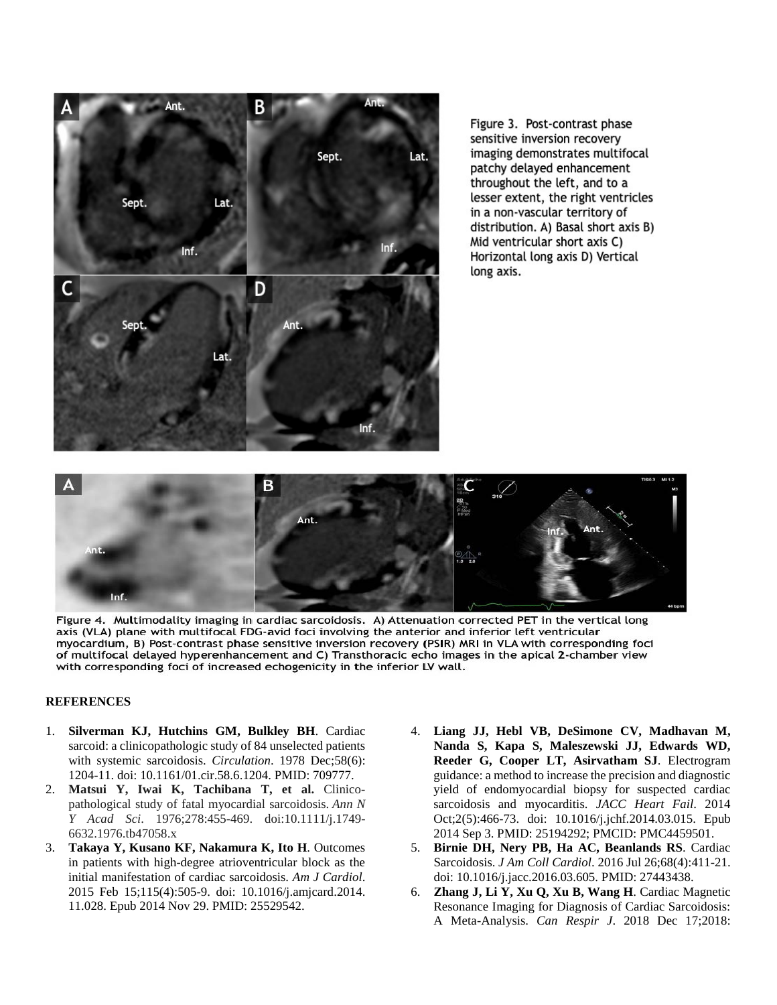

Figure 3. Post-contrast phase sensitive inversion recovery imaging demonstrates multifocal patchy delayed enhancement throughout the left, and to a lesser extent, the right ventricles in a non-vascular territory of distribution. A) Basal short axis B) Mid ventricular short axis C) Horizontal long axis D) Vertical long axis.



Figure 4. Multimodality imaging in cardiac sarcoidosis. A) Attenuation corrected PET in the vertical long axis (VLA) plane with multifocal FDG-avid foci involving the anterior and inferior left ventricular myocardium, B) Post-contrast phase sensitive inversion recovery (PSIR) MRI in VLA with corresponding foci of multifocal delayed hyperenhancement and C) Transthoracic echo images in the apical 2-chamber view with corresponding foci of increased echogenicity in the inferior LV wall.

#### **REFERENCES**

- 1. **Silverman KJ, Hutchins GM, Bulkley BH**. Cardiac sarcoid: a clinicopathologic study of 84 unselected patients with systemic sarcoidosis. *Circulation*. 1978 Dec;58(6): 1204-11. doi: 10.1161/01.cir.58.6.1204. PMID: 709777.
- 2. **Matsui Y, Iwai K, Tachibana T, et al.** Clinicopathological study of fatal myocardial sarcoidosis. *Ann N Y Acad Sci*. 1976;278:455-469. doi:10.1111/j.1749- 6632.1976.tb47058.x
- 3. **Takaya Y, Kusano KF, Nakamura K, Ito H**. Outcomes in patients with high-degree atrioventricular block as the initial manifestation of cardiac sarcoidosis. *Am J Cardiol*. 2015 Feb 15;115(4):505-9. doi: 10.1016/j.amjcard.2014. 11.028. Epub 2014 Nov 29. PMID: 25529542.
- 4. **Liang JJ, Hebl VB, DeSimone CV, Madhavan M, Nanda S, Kapa S, Maleszewski JJ, Edwards WD, Reeder G, Cooper LT, Asirvatham SJ**. Electrogram guidance: a method to increase the precision and diagnostic yield of endomyocardial biopsy for suspected cardiac sarcoidosis and myocarditis. *JACC Heart Fail*. 2014 Oct;2(5):466-73. doi: 10.1016/j.jchf.2014.03.015. Epub 2014 Sep 3. PMID: 25194292; PMCID: PMC4459501.
- 5. **Birnie DH, Nery PB, Ha AC, Beanlands RS**. Cardiac Sarcoidosis. *J Am Coll Cardiol*. 2016 Jul 26;68(4):411-21. doi: 10.1016/j.jacc.2016.03.605. PMID: 27443438.
- 6. **Zhang J, Li Y, Xu Q, Xu B, Wang H**. Cardiac Magnetic Resonance Imaging for Diagnosis of Cardiac Sarcoidosis: A Meta-Analysis. *Can Respir J*. 2018 Dec 17;2018: